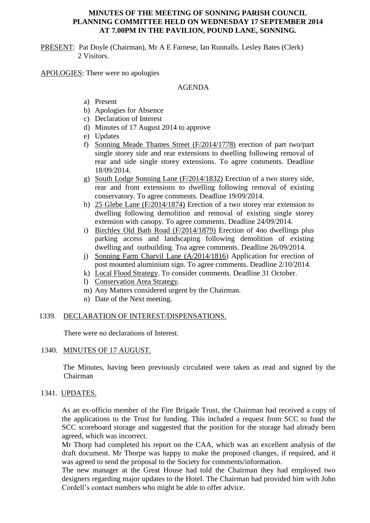#### **MINUTES OF THE MEETING OF SONNING PARISH COUNCIL PLANNING COMMITTEE HELD ON WEDNESDAY 17 SEPTEMBER 2014 AT 7.00PM IN THE PAVILION, POUND LANE, SONNING.**

PRESENT: Pat Doyle (Chairman), Mr A E Farnese, Ian Runnalls. Lesley Bates (Clerk) 2 Visitors.

APOLOGIES: There were no apologies

### AGENDA

- a) Present
- b) Apologies for Absence
- c) Declaration of Interest
- d) Minutes of 17 August 2014 to approve
- e) Updates
- f) Sonning Meade Thames Street (F/2014/1778) erection of part two/part single storey side and rear extensions to dwelling following removal of rear and side single storey extensions. To agree comments. Deadline 18/09/2014.
- g) South Lodge Sonning Lane (F/2014/1832) Erection of a two storey side, rear and front extensions to dwelling following removal of existing conservatory. To agree comments. Deadline 19/09/2014.
- h) 25 Glebe Lane (F/2014/1874) Erection of a two storey rear extension to dwelling following demolition and removal of existing single storey extension with canopy. To agree comments. Deadline 24/09/2014.
- i) Birchley Old Bath Road (F/2014/1879) Erection of 4no dwellings plus parking access and landscaping following demolition of existing dwelling and outbuilding. Toa agree comments. Deadline 26/09/2014.
- j) Sonning Farm Charvil Lane (A/2014/1816) Application for erection of post mounted aluminium sign. To agree comments. Deadline 2/10/2014.
- k) Local Flood Strategy. To consider comments. Deadline 31 October.
- l) Conservation Area Strategy.
- m) Any Matters considered urgent by the Chairman.
- n) Date of the Next meeting.

### 1339. DECLARATION OF INTEREST/DISPENSATIONS.

There were no declarations of Interest.

# 1340. MINUTES OF 17 AUGUST.

 The Minutes, having been previously circulated were taken as read and signed by the Chairman

### 1341. UPDATES.

As an ex-officio member of the Fire Brigade Trust, the Chairman had received a copy of the applications to the Trust for funding. This included a request from SCC to fund the SCC scoreboard storage and suggested that the position for the storage had already been agreed, which was incorrect.

Mr Thorp had completed his report on the CAA, which was an excellent analysis of the draft document. Mr Thorpe was happy to make the proposed changes, if required, and it was agreed to send the proposal to the Society for comments/information.

The new manager at the Great House had told the Chairman they had employed two designers regarding major updates to the Hotel. The Chairman had provided him with John Cordell's contact numbers who might be able to offer advice.